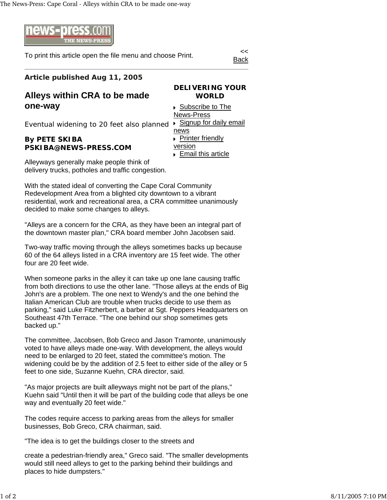

To print this article open the file menu and choose Print.

Back

## **Article published Aug 11, 2005**

## **Alleys within CRA to be made one-way**

## **DELIVERING YOUR WORLD**

Eventual widening to 20 feet also planned

## **By PETE SKIBA PSKIBA@NEWS-PRESS.COM**

News-Press ▶ Signup for daily email news **Printer friendly** version Email this article

▶ Subscribe to The

Alleyways generally make people think of delivery trucks, potholes and traffic congestion.

With the stated ideal of converting the Cape Coral Community Redevelopment Area from a blighted city downtown to a vibrant residential, work and recreational area, a CRA committee unanimously decided to make some changes to alleys.

"Alleys are a concern for the CRA, as they have been an integral part of the downtown master plan," CRA board member John Jacobsen said.

Two-way traffic moving through the alleys sometimes backs up because 60 of the 64 alleys listed in a CRA inventory are 15 feet wide. The other four are 20 feet wide.

When someone parks in the alley it can take up one lane causing traffic from both directions to use the other lane. "Those alleys at the ends of Big John's are a problem. The one next to Wendy's and the one behind the Italian American Club are trouble when trucks decide to use them as parking," said Luke Fitzherbert, a barber at Sgt. Peppers Headquarters on Southeast 47th Terrace. "The one behind our shop sometimes gets backed up."

The committee, Jacobsen, Bob Greco and Jason Tramonte, unanimously voted to have alleys made one-way. With development, the alleys would need to be enlarged to 20 feet, stated the committee's motion. The widening could be by the addition of 2.5 feet to either side of the alley or 5 feet to one side, Suzanne Kuehn, CRA director, said.

"As major projects are built alleyways might not be part of the plans," Kuehn said "Until then it will be part of the building code that alleys be one way and eventually 20 feet wide."

The codes require access to parking areas from the alleys for smaller businesses, Bob Greco, CRA chairman, said.

"The idea is to get the buildings closer to the streets and

create a pedestrian-friendly area," Greco said. "The smaller developments would still need alleys to get to the parking behind their buildings and places to hide dumpsters."